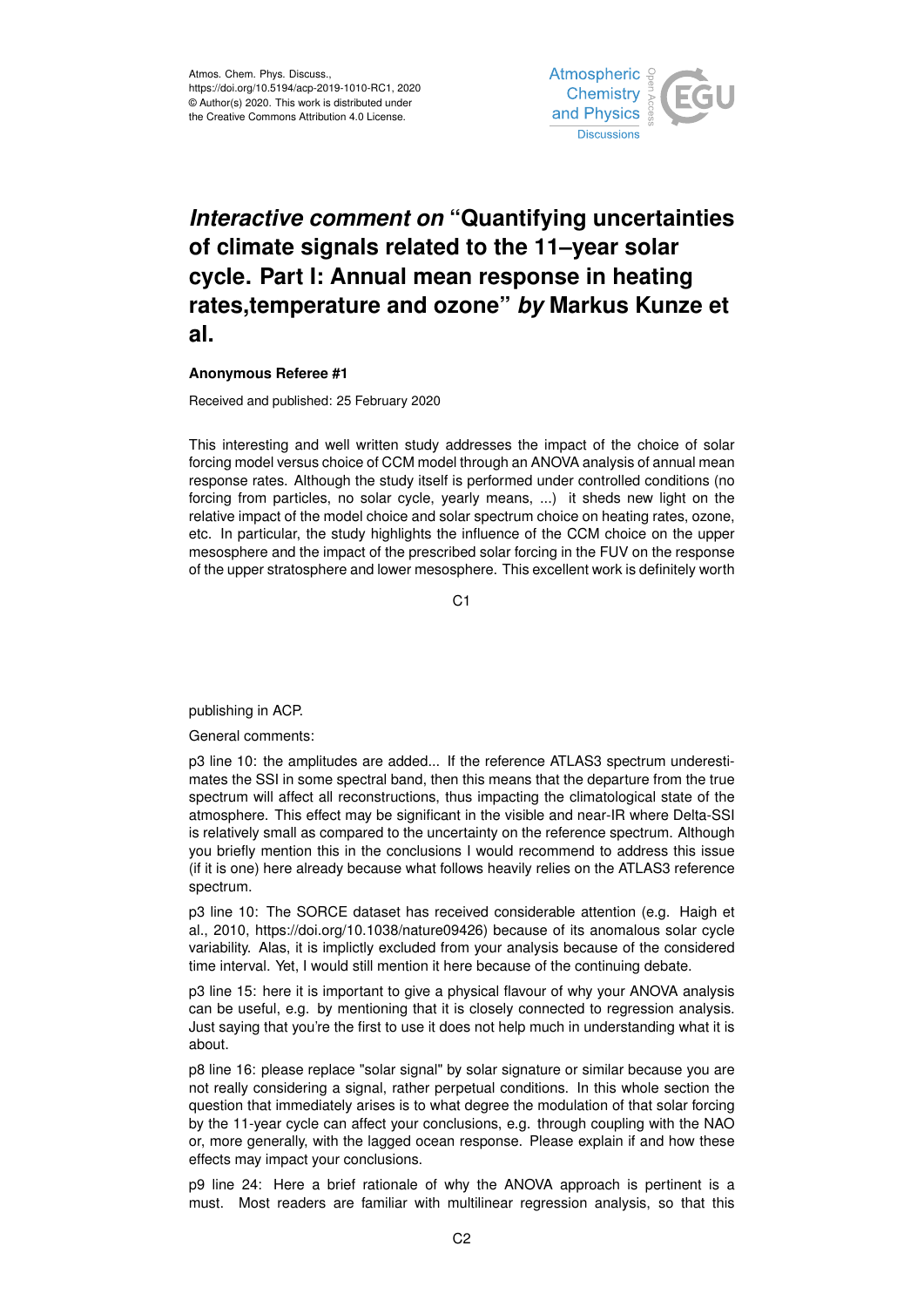

## *Interactive comment on* **"Quantifying uncertainties of climate signals related to the 11–year solar cycle. Part I: Annual mean response in heating rates,temperature and ozone"** *by* **Markus Kunze et al.**

## **Anonymous Referee #1**

Received and published: 25 February 2020

This interesting and well written study addresses the impact of the choice of solar forcing model versus choice of CCM model through an ANOVA analysis of annual mean response rates. Although the study itself is performed under controlled conditions (no forcing from particles, no solar cycle, yearly means, ...) it sheds new light on the relative impact of the model choice and solar spectrum choice on heating rates, ozone, etc. In particular, the study highlights the influence of the CCM choice on the upper mesosphere and the impact of the prescribed solar forcing in the FUV on the response of the upper stratosphere and lower mesosphere. This excellent work is definitely worth

C1

publishing in ACP.

General comments:

p3 line 10: the amplitudes are added... If the reference ATLAS3 spectrum underestimates the SSI in some spectral band, then this means that the departure from the true spectrum will affect all reconstructions, thus impacting the climatological state of the atmosphere. This effect may be significant in the visible and near-IR where Delta-SSI is relatively small as compared to the uncertainty on the reference spectrum. Although you briefly mention this in the conclusions I would recommend to address this issue (if it is one) here already because what follows heavily relies on the ATLAS3 reference spectrum.

p3 line 10: The SORCE dataset has received considerable attention (e.g. Haigh et al., 2010, https://doi.org/10.1038/nature09426) because of its anomalous solar cycle variability. Alas, it is implictly excluded from your analysis because of the considered time interval. Yet, I would still mention it here because of the continuing debate.

p3 line 15: here it is important to give a physical flavour of why your ANOVA analysis can be useful, e.g. by mentioning that it is closely connected to regression analysis. Just saying that you're the first to use it does not help much in understanding what it is about.

p8 line 16: please replace "solar signal" by solar signature or similar because you are not really considering a signal, rather perpetual conditions. In this whole section the question that immediately arises is to what degree the modulation of that solar forcing by the 11-year cycle can affect your conclusions, e.g. through coupling with the NAO or, more generally, with the lagged ocean response. Please explain if and how these effects may impact your conclusions.

p9 line 24: Here a brief rationale of why the ANOVA approach is pertinent is a must. Most readers are familiar with multilinear regression analysis, so that this